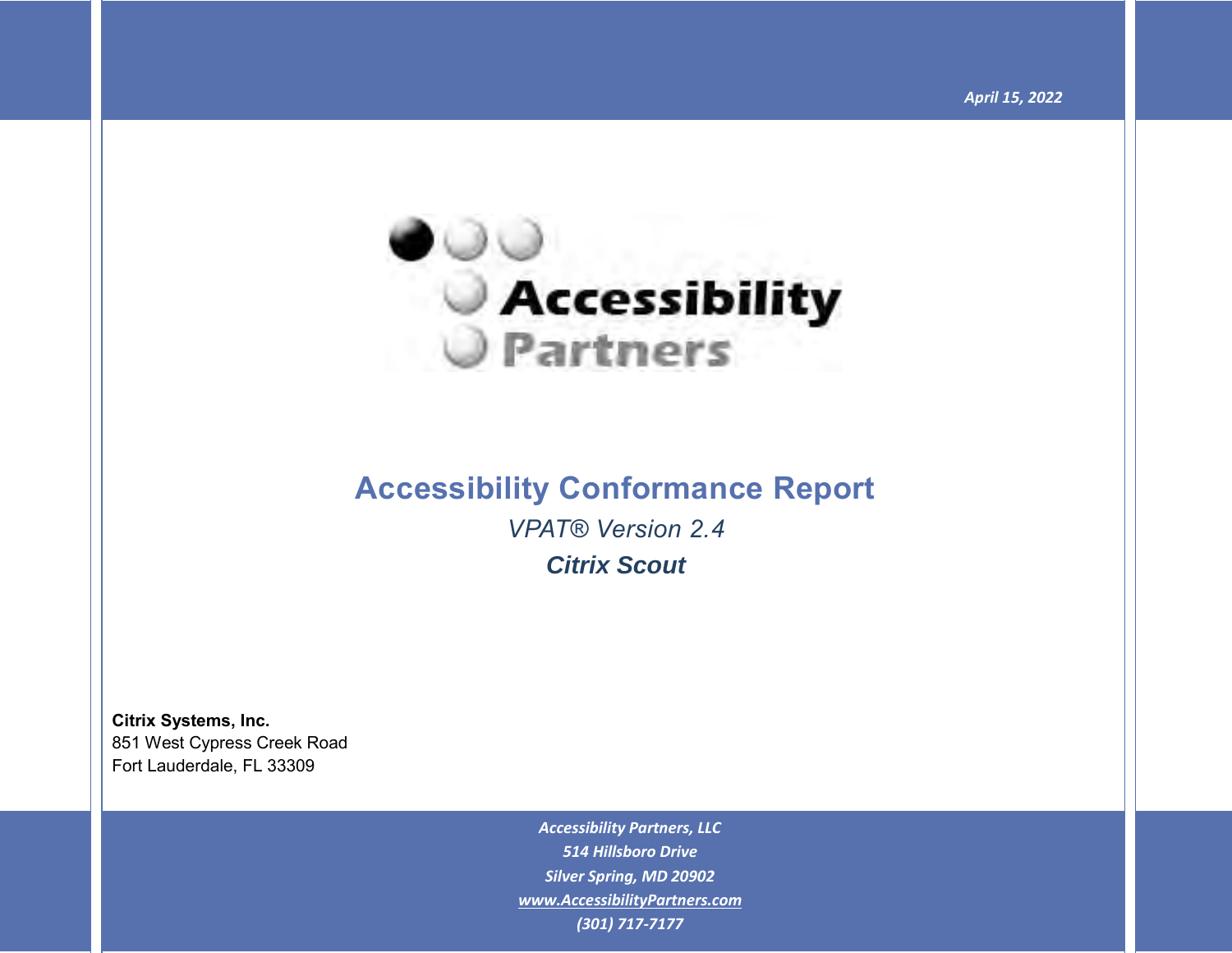

## **Accessibility Conformance Report** *VPAT® Version 2.4*

*Citrix Scout*

**Citrix Systems, Inc.** 851 West Cypress Creek Road Fort Lauderdale, FL 33309

> *Accessibility Partners, LLC 514 Hillsboro Drive Silver Spring, MD 20902 [www.AccessibilityPartners.com](http://www.accessibilitypartners.com/) (301) 717-7177*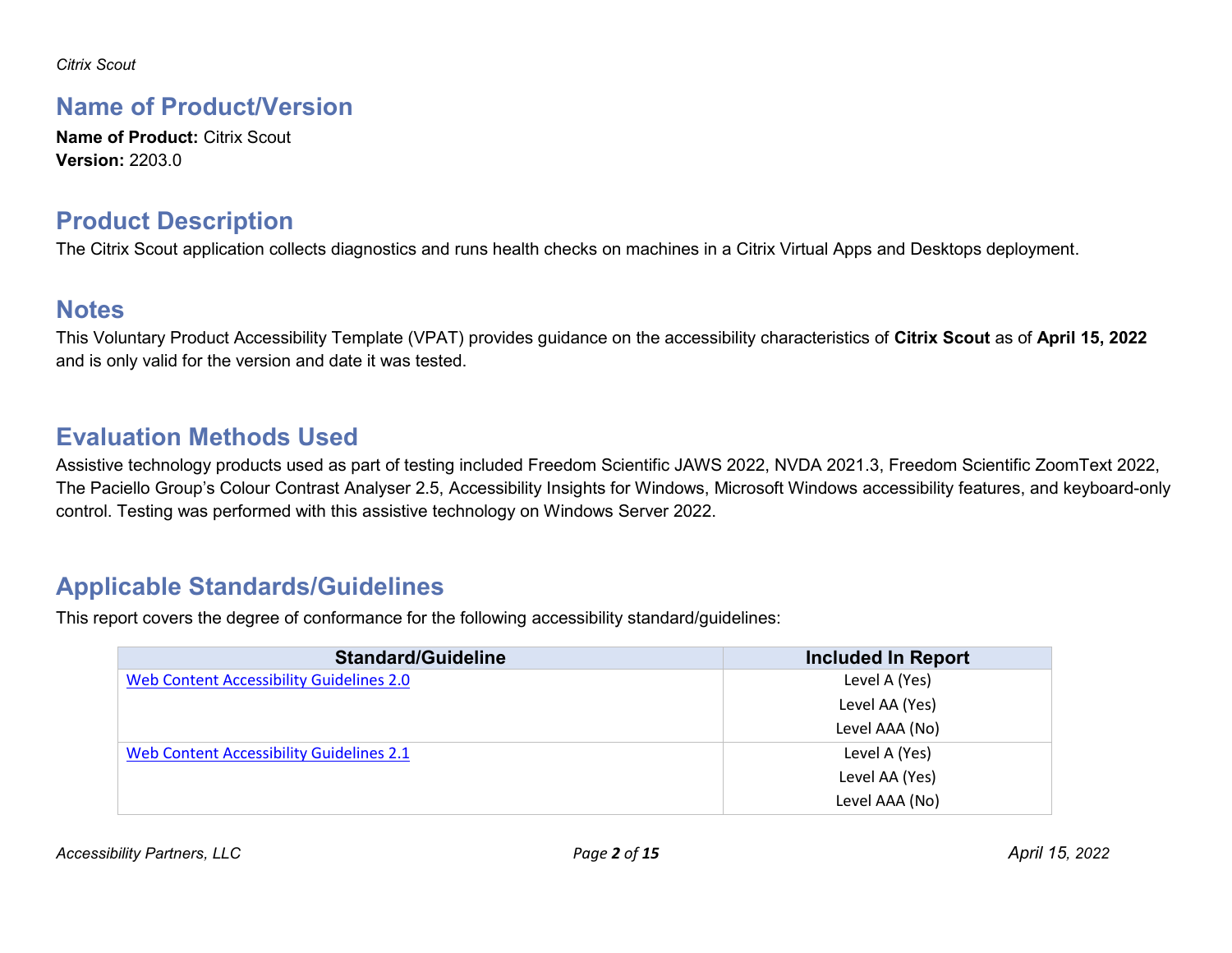#### **Name of Product/Version**

**Name of Product: Citrix Scout Version:** 2203.0

#### **Product Description**

The Citrix Scout application collects diagnostics and runs health checks on machines in a Citrix Virtual Apps and Desktops deployment.

#### **Notes**

This Voluntary Product Accessibility Template (VPAT) provides guidance on the accessibility characteristics of **Citrix Scout** as of **April 15, 2022** and is only valid for the version and date it was tested.

## **Evaluation Methods Used**

Assistive technology products used as part of testing included Freedom Scientific JAWS 2022, NVDA 2021.3, Freedom Scientific ZoomText 2022, The Paciello Group's Colour Contrast Analyser 2.5, Accessibility Insights for Windows, Microsoft Windows accessibility features, and keyboard-only control. Testing was performed with this assistive technology on Windows Server 2022.

#### **Applicable Standards/Guidelines**

This report covers the degree of conformance for the following accessibility standard/guidelines:

| <b>Standard/Guideline</b>                | Included In Report |
|------------------------------------------|--------------------|
| Web Content Accessibility Guidelines 2.0 | Level A (Yes)      |
|                                          | Level AA (Yes)     |
|                                          | Level AAA (No)     |
| Web Content Accessibility Guidelines 2.1 | Level A (Yes)      |
|                                          | Level AA (Yes)     |
|                                          | Level AAA (No)     |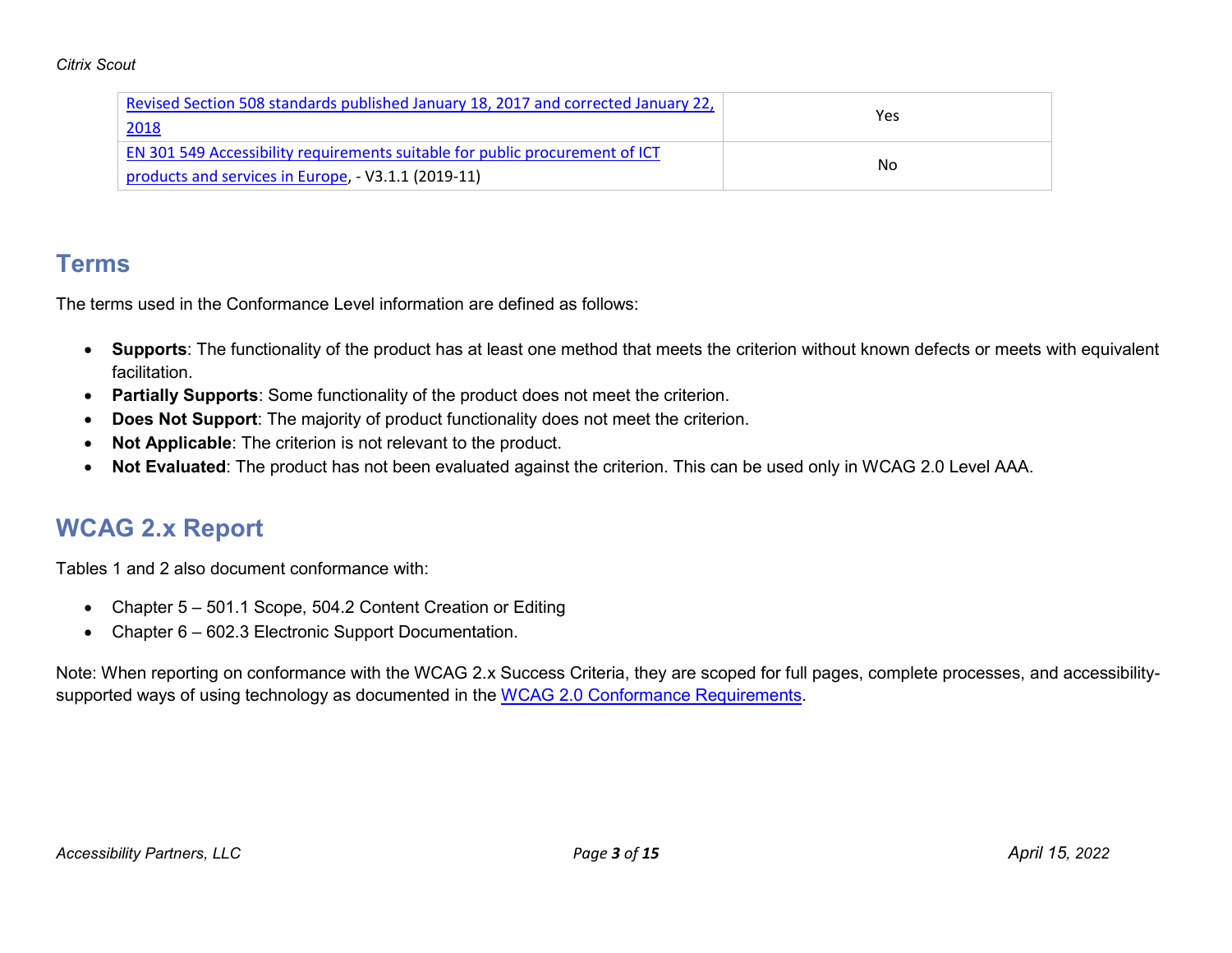| Revised Section 508 standards published January 18, 2017 and corrected January 22,  |     |
|-------------------------------------------------------------------------------------|-----|
| 2018                                                                                | Yes |
| <b>EN 301 549 Accessibility requirements suitable for public procurement of ICT</b> |     |
| products and services in Europe, - V3.1.1 (2019-11)                                 | No  |

#### **Terms**

The terms used in the Conformance Level information are defined as follows:

- **Supports**: The functionality of the product has at least one method that meets the criterion without known defects or meets with equivalent facilitation.
- **Partially Supports**: Some functionality of the product does not meet the criterion.
- **Does Not Support**: The majority of product functionality does not meet the criterion.
- **Not Applicable**: The criterion is not relevant to the product.
- **Not Evaluated**: The product has not been evaluated against the criterion. This can be used only in WCAG 2.0 Level AAA.

## **WCAG 2.x Report**

Tables 1 and 2 also document conformance with:

- Chapter 5 501.1 Scope, 504.2 Content Creation or Editing
- Chapter 6 602.3 Electronic Support Documentation.

Note: When reporting on conformance with the WCAG 2.x Success Criteria, they are scoped for full pages, complete processes, and accessibility-supported ways of using technology as documented in the [WCAG 2.0 Conformance Requirements.](https://www.w3.org/TR/WCAG20/#conformance-reqs)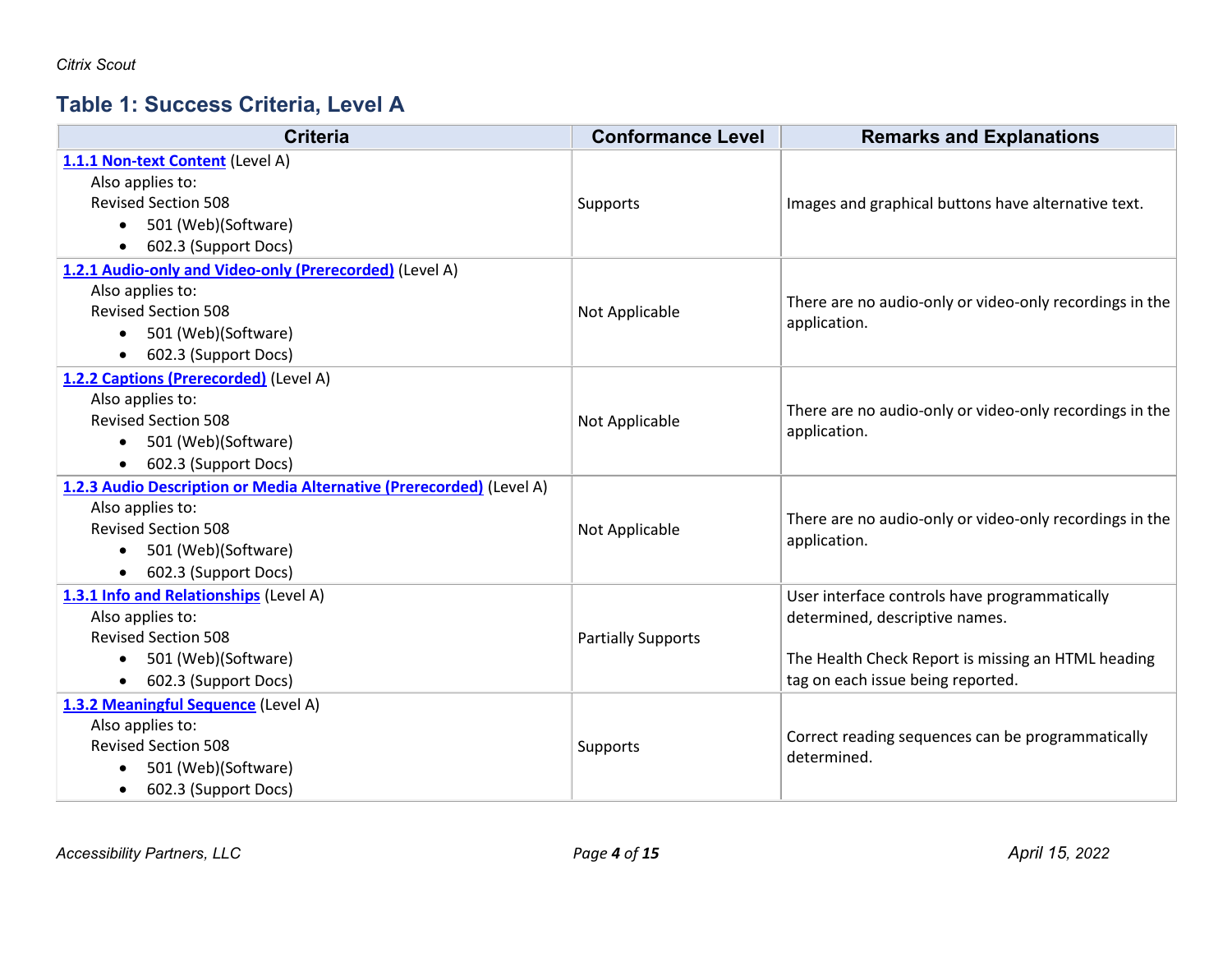## **Table 1: Success Criteria, Level A**

| <b>Criteria</b>                                                      | <b>Conformance Level</b>  | <b>Remarks and Explanations</b>                         |
|----------------------------------------------------------------------|---------------------------|---------------------------------------------------------|
| 1.1.1 Non-text Content (Level A)                                     |                           |                                                         |
| Also applies to:                                                     |                           |                                                         |
| <b>Revised Section 508</b>                                           | Supports                  | Images and graphical buttons have alternative text.     |
| 501 (Web)(Software)<br>$\bullet$                                     |                           |                                                         |
| 602.3 (Support Docs)<br>$\bullet$                                    |                           |                                                         |
| 1.2.1 Audio-only and Video-only (Prerecorded) (Level A)              |                           |                                                         |
| Also applies to:                                                     |                           | There are no audio-only or video-only recordings in the |
| <b>Revised Section 508</b>                                           | Not Applicable            | application.                                            |
| 501 (Web)(Software)<br>$\bullet$                                     |                           |                                                         |
| 602.3 (Support Docs)<br>$\bullet$                                    |                           |                                                         |
| 1.2.2 Captions (Prerecorded) (Level A)                               |                           |                                                         |
| Also applies to:                                                     |                           | There are no audio-only or video-only recordings in the |
| <b>Revised Section 508</b>                                           | Not Applicable            | application.                                            |
| 501 (Web)(Software)<br>$\bullet$                                     |                           |                                                         |
| 602.3 (Support Docs)<br>$\bullet$                                    |                           |                                                         |
| 1.2.3 Audio Description or Media Alternative (Prerecorded) (Level A) |                           |                                                         |
| Also applies to:                                                     |                           | There are no audio-only or video-only recordings in the |
| <b>Revised Section 508</b>                                           | Not Applicable            | application.                                            |
| 501 (Web)(Software)<br>$\bullet$                                     |                           |                                                         |
| 602.3 (Support Docs)<br>$\bullet$                                    |                           |                                                         |
| 1.3.1 Info and Relationships (Level A)                               |                           | User interface controls have programmatically           |
| Also applies to:                                                     |                           | determined, descriptive names.                          |
| <b>Revised Section 508</b>                                           | <b>Partially Supports</b> |                                                         |
| 501 (Web)(Software)<br>$\bullet$                                     |                           | The Health Check Report is missing an HTML heading      |
| 602.3 (Support Docs)<br>$\bullet$                                    |                           | tag on each issue being reported.                       |
| 1.3.2 Meaningful Sequence (Level A)                                  |                           |                                                         |
| Also applies to:                                                     |                           | Correct reading sequences can be programmatically       |
| <b>Revised Section 508</b>                                           | Supports                  | determined.                                             |
| 501 (Web)(Software)                                                  |                           |                                                         |
| 602.3 (Support Docs)<br>$\bullet$                                    |                           |                                                         |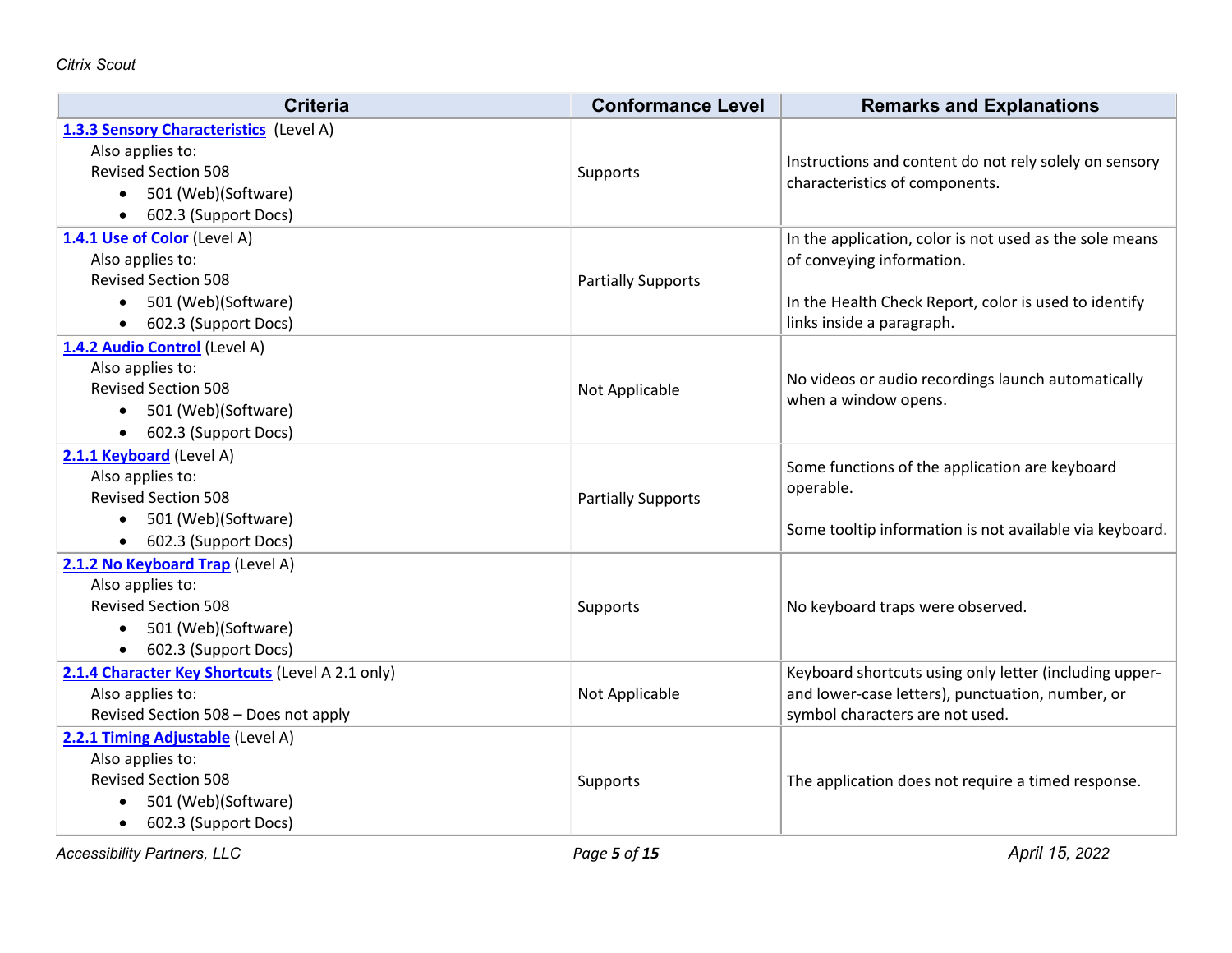| <b>Criteria</b>                                  | <b>Conformance Level</b>  | <b>Remarks and Explanations</b>                         |
|--------------------------------------------------|---------------------------|---------------------------------------------------------|
| 1.3.3 Sensory Characteristics (Level A)          |                           |                                                         |
| Also applies to:                                 |                           | Instructions and content do not rely solely on sensory  |
| <b>Revised Section 508</b>                       | Supports                  | characteristics of components.                          |
| 501 (Web)(Software)<br>$\bullet$                 |                           |                                                         |
| 602.3 (Support Docs)<br>$\bullet$                |                           |                                                         |
| 1.4.1 Use of Color (Level A)                     |                           | In the application, color is not used as the sole means |
| Also applies to:                                 |                           | of conveying information.                               |
| <b>Revised Section 508</b>                       | <b>Partially Supports</b> |                                                         |
| 501 (Web)(Software)<br>$\bullet$                 |                           | In the Health Check Report, color is used to identify   |
| 602.3 (Support Docs)<br>$\bullet$                |                           | links inside a paragraph.                               |
| 1.4.2 Audio Control (Level A)                    |                           |                                                         |
| Also applies to:                                 |                           | No videos or audio recordings launch automatically      |
| <b>Revised Section 508</b>                       | Not Applicable            | when a window opens.                                    |
| 501 (Web)(Software)<br>$\bullet$                 |                           |                                                         |
| 602.3 (Support Docs)<br>$\bullet$                |                           |                                                         |
| 2.1.1 Keyboard (Level A)                         |                           | Some functions of the application are keyboard          |
| Also applies to:                                 |                           | operable.                                               |
| <b>Revised Section 508</b>                       | <b>Partially Supports</b> |                                                         |
| 501 (Web)(Software)                              |                           | Some tooltip information is not available via keyboard. |
| 602.3 (Support Docs)<br>$\bullet$                |                           |                                                         |
| 2.1.2 No Keyboard Trap (Level A)                 |                           |                                                         |
| Also applies to:                                 |                           |                                                         |
| <b>Revised Section 508</b>                       | Supports                  | No keyboard traps were observed.                        |
| 501 (Web)(Software)<br>$\bullet$                 |                           |                                                         |
| 602.3 (Support Docs)<br>$\bullet$                |                           |                                                         |
| 2.1.4 Character Key Shortcuts (Level A 2.1 only) |                           | Keyboard shortcuts using only letter (including upper-  |
| Also applies to:                                 | Not Applicable            | and lower-case letters), punctuation, number, or        |
| Revised Section 508 - Does not apply             |                           | symbol characters are not used.                         |
| 2.2.1 Timing Adjustable (Level A)                |                           |                                                         |
| Also applies to:                                 |                           |                                                         |
| <b>Revised Section 508</b>                       | Supports                  | The application does not require a timed response.      |
| 501 (Web)(Software)<br>$\bullet$                 |                           |                                                         |
| 602.3 (Support Docs)<br>$\bullet$                |                           |                                                         |

*Accessibility Partners, LLC Page 5 of 15 April 15, 2022*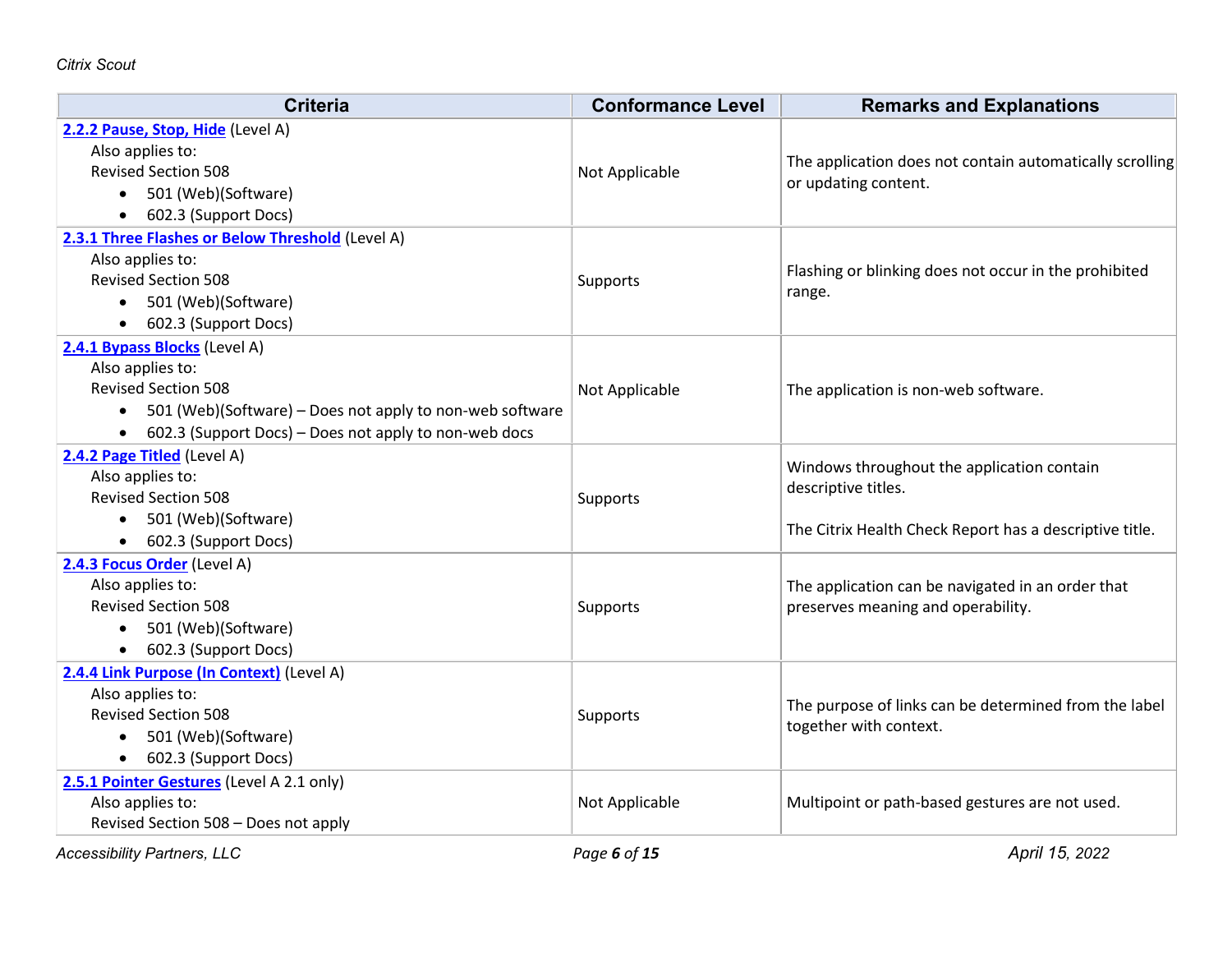| <b>Criteria</b>                                                                                                                                                                                                   | <b>Conformance Level</b> | <b>Remarks and Explanations</b>                                                                                              |
|-------------------------------------------------------------------------------------------------------------------------------------------------------------------------------------------------------------------|--------------------------|------------------------------------------------------------------------------------------------------------------------------|
| 2.2.2 Pause, Stop, Hide (Level A)<br>Also applies to:<br><b>Revised Section 508</b><br>501 (Web)(Software)<br>$\bullet$<br>602.3 (Support Docs)                                                                   | Not Applicable           | The application does not contain automatically scrolling<br>or updating content.                                             |
| 2.3.1 Three Flashes or Below Threshold (Level A)<br>Also applies to:<br><b>Revised Section 508</b><br>501 (Web)(Software)<br>602.3 (Support Docs)<br>$\bullet$                                                    | <b>Supports</b>          | Flashing or blinking does not occur in the prohibited<br>range.                                                              |
| 2.4.1 Bypass Blocks (Level A)<br>Also applies to:<br><b>Revised Section 508</b><br>501 (Web)(Software) – Does not apply to non-web software<br>$\bullet$<br>602.3 (Support Docs) - Does not apply to non-web docs | Not Applicable           | The application is non-web software.                                                                                         |
| 2.4.2 Page Titled (Level A)<br>Also applies to:<br><b>Revised Section 508</b><br>501 (Web)(Software)<br>• 602.3 (Support Docs)                                                                                    | <b>Supports</b>          | Windows throughout the application contain<br>descriptive titles.<br>The Citrix Health Check Report has a descriptive title. |
| 2.4.3 Focus Order (Level A)<br>Also applies to:<br><b>Revised Section 508</b><br>501 (Web)(Software)<br>$\bullet$<br>602.3 (Support Docs)                                                                         | Supports                 | The application can be navigated in an order that<br>preserves meaning and operability.                                      |
| 2.4.4 Link Purpose (In Context) (Level A)<br>Also applies to:<br><b>Revised Section 508</b><br>501 (Web)(Software)<br>$\bullet$<br>602.3 (Support Docs)<br>$\bullet$                                              | <b>Supports</b>          | The purpose of links can be determined from the label<br>together with context.                                              |
| 2.5.1 Pointer Gestures (Level A 2.1 only)<br>Also applies to:<br>Revised Section 508 - Does not apply                                                                                                             | Not Applicable           | Multipoint or path-based gestures are not used.                                                                              |

*Accessibility Partners, LLC Page 6 of 15 April 15, 2022*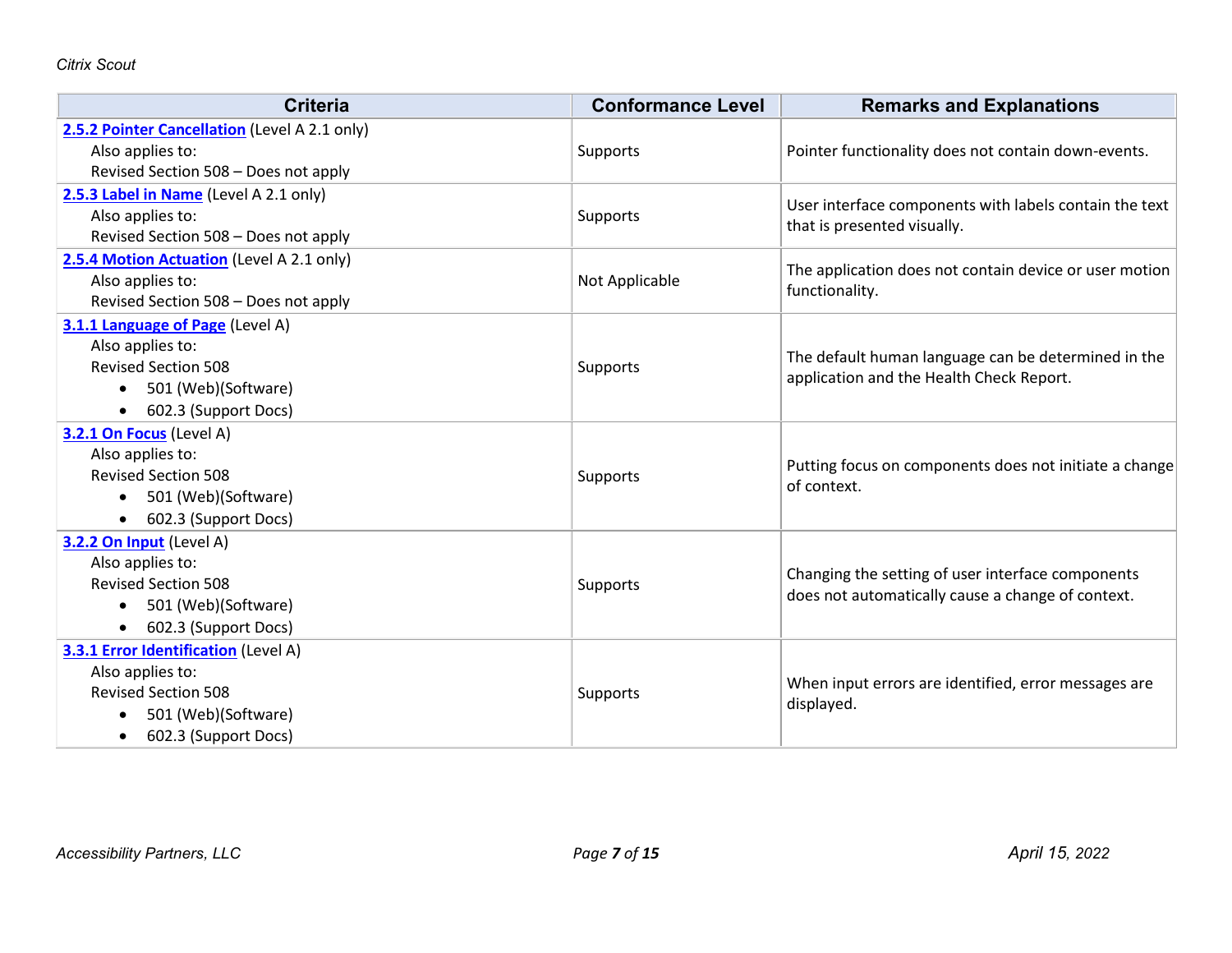| <b>Criteria</b>                               | <b>Conformance Level</b> | <b>Remarks and Explanations</b>                        |
|-----------------------------------------------|--------------------------|--------------------------------------------------------|
| 2.5.2 Pointer Cancellation (Level A 2.1 only) |                          |                                                        |
| Also applies to:                              | Supports                 | Pointer functionality does not contain down-events.    |
| Revised Section 508 - Does not apply          |                          |                                                        |
| 2.5.3 Label in Name (Level A 2.1 only)        |                          | User interface components with labels contain the text |
| Also applies to:                              | Supports                 | that is presented visually.                            |
| Revised Section 508 - Does not apply          |                          |                                                        |
| 2.5.4 Motion Actuation (Level A 2.1 only)     |                          | The application does not contain device or user motion |
| Also applies to:                              | Not Applicable           | functionality.                                         |
| Revised Section 508 - Does not apply          |                          |                                                        |
| 3.1.1 Language of Page (Level A)              |                          |                                                        |
| Also applies to:                              |                          | The default human language can be determined in the    |
| <b>Revised Section 508</b>                    | Supports                 | application and the Health Check Report.               |
| 501 (Web)(Software)<br>$\bullet$              |                          |                                                        |
| 602.3 (Support Docs)<br>$\bullet$             |                          |                                                        |
| 3.2.1 On Focus (Level A)                      |                          |                                                        |
| Also applies to:                              |                          | Putting focus on components does not initiate a change |
| <b>Revised Section 508</b>                    | Supports                 | of context.                                            |
| 501 (Web)(Software)<br>$\bullet$              |                          |                                                        |
| 602.3 (Support Docs)                          |                          |                                                        |
| 3.2.2 On Input (Level A)                      |                          |                                                        |
| Also applies to:                              |                          | Changing the setting of user interface components      |
| <b>Revised Section 508</b>                    | Supports                 | does not automatically cause a change of context.      |
| 501 (Web)(Software)                           |                          |                                                        |
| 602.3 (Support Docs)<br>$\bullet$             |                          |                                                        |
| 3.3.1 Error Identification (Level A)          |                          |                                                        |
| Also applies to:                              |                          | When input errors are identified, error messages are   |
| <b>Revised Section 508</b>                    | Supports                 | displayed.                                             |
| 501 (Web)(Software)                           |                          |                                                        |
| 602.3 (Support Docs)<br>$\bullet$             |                          |                                                        |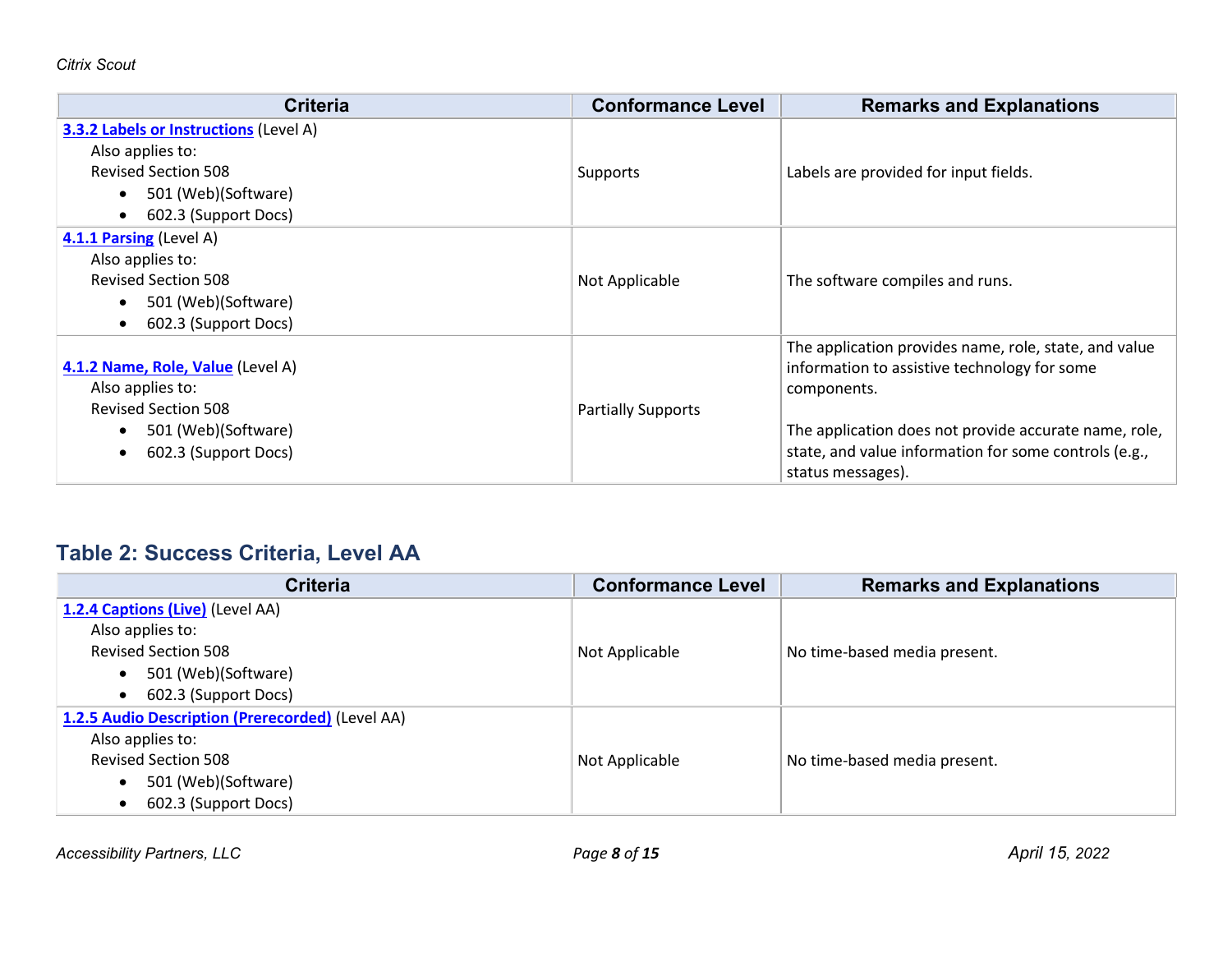| <b>Criteria</b>                                                                                                                                                          | <b>Conformance Level</b>  | <b>Remarks and Explanations</b>                                                                                                                                                                                                                             |
|--------------------------------------------------------------------------------------------------------------------------------------------------------------------------|---------------------------|-------------------------------------------------------------------------------------------------------------------------------------------------------------------------------------------------------------------------------------------------------------|
| <b>3.3.2 Labels or Instructions (Level A)</b><br>Also applies to:<br><b>Revised Section 508</b><br>501 (Web)(Software)<br>$\bullet$<br>602.3 (Support Docs)<br>$\bullet$ | Supports                  | Labels are provided for input fields.                                                                                                                                                                                                                       |
| 4.1.1 Parsing (Level A)<br>Also applies to:<br><b>Revised Section 508</b><br>501 (Web)(Software)<br>602.3 (Support Docs)<br>$\bullet$                                    | Not Applicable            | The software compiles and runs.                                                                                                                                                                                                                             |
| 4.1.2 Name, Role, Value (Level A)<br>Also applies to:<br><b>Revised Section 508</b><br>501 (Web)(Software)<br>602.3 (Support Docs)<br>$\bullet$                          | <b>Partially Supports</b> | The application provides name, role, state, and value<br>information to assistive technology for some<br>components.<br>The application does not provide accurate name, role,<br>state, and value information for some controls (e.g.,<br>status messages). |

## **Table 2: Success Criteria, Level AA**

| <b>Criteria</b>                                  | <b>Conformance Level</b> | <b>Remarks and Explanations</b> |
|--------------------------------------------------|--------------------------|---------------------------------|
| 1.2.4 Captions (Live) (Level AA)                 |                          |                                 |
| Also applies to:                                 |                          |                                 |
| <b>Revised Section 508</b>                       | Not Applicable           | No time-based media present.    |
| 501 (Web)(Software)<br>$\bullet$                 |                          |                                 |
| 602.3 (Support Docs)<br>$\bullet$                |                          |                                 |
| 1.2.5 Audio Description (Prerecorded) (Level AA) |                          |                                 |
| Also applies to:                                 |                          |                                 |
| <b>Revised Section 508</b>                       | Not Applicable           | No time-based media present.    |
| 501 (Web)(Software)<br>$\bullet$                 |                          |                                 |
| 602.3 (Support Docs)<br>$\bullet$                |                          |                                 |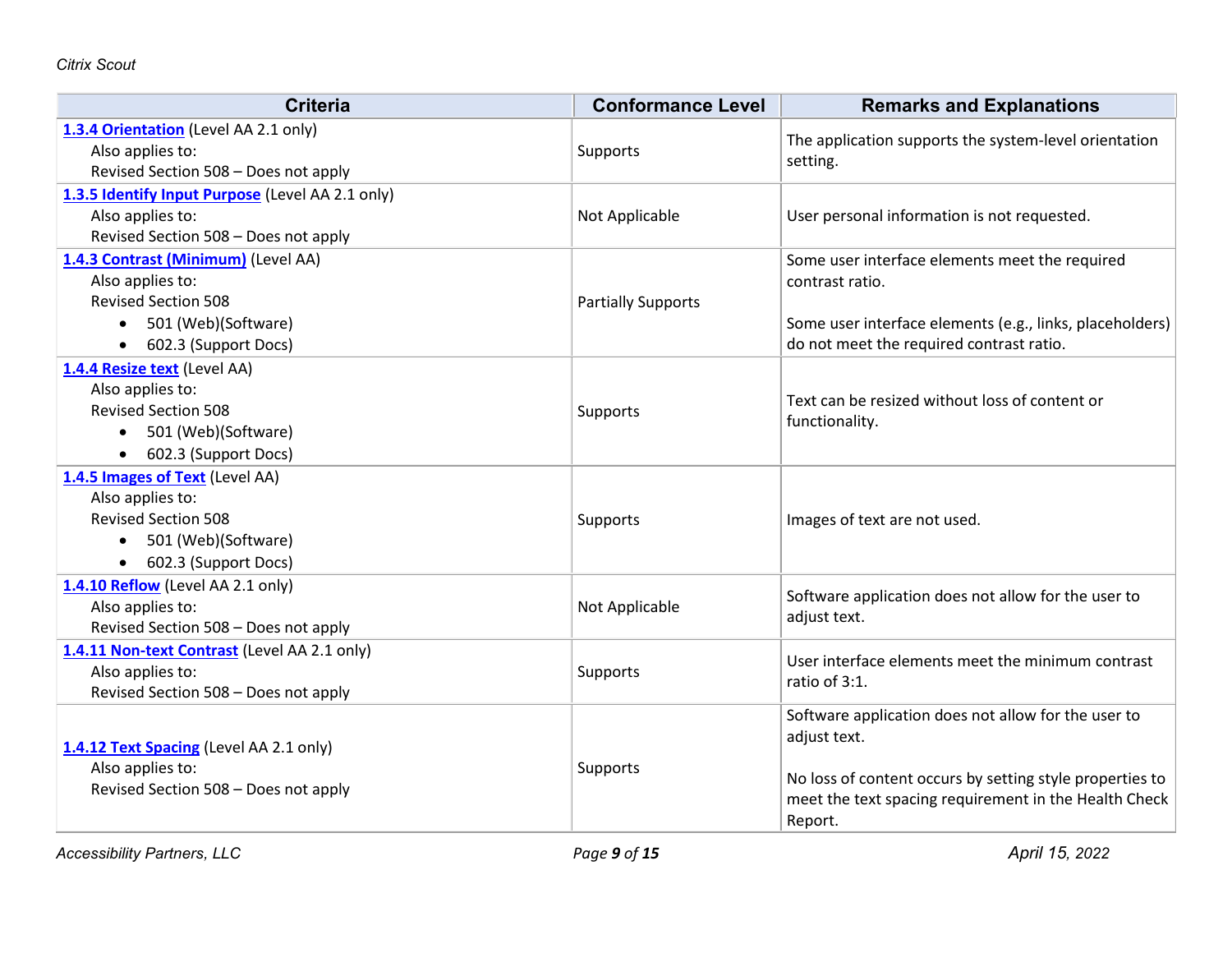| 1.3.4 Orientation (Level AA 2.1 only)<br>The application supports the system-level orientation<br>Also applies to:<br>Supports<br>setting.<br>Revised Section 508 - Does not apply<br>1.3.5 Identify Input Purpose (Level AA 2.1 only)<br>Also applies to:<br>Not Applicable<br>User personal information is not requested.<br>Revised Section 508 - Does not apply<br>1.4.3 Contrast (Minimum) (Level AA)<br>Some user interface elements meet the required<br>Also applies to:<br>contrast ratio.<br><b>Revised Section 508</b><br><b>Partially Supports</b><br>501 (Web)(Software)<br>Some user interface elements (e.g., links, placeholders)<br>$\bullet$<br>do not meet the required contrast ratio.<br>602.3 (Support Docs)<br>$\bullet$<br>1.4.4 Resize text (Level AA)<br>Also applies to:<br>Text can be resized without loss of content or<br><b>Revised Section 508</b><br>Supports<br>functionality.<br>501 (Web)(Software)<br>$\bullet$<br>602.3 (Support Docs)<br>$\bullet$<br>1.4.5 Images of Text (Level AA)<br>Also applies to:<br><b>Revised Section 508</b><br>Images of text are not used.<br>Supports<br>501 (Web)(Software)<br>$\bullet$<br>602.3 (Support Docs)<br>$\bullet$<br>1.4.10 Reflow (Level AA 2.1 only)<br>Software application does not allow for the user to<br>Also applies to:<br>Not Applicable<br>adjust text.<br>Revised Section 508 - Does not apply<br>1.4.11 Non-text Contrast (Level AA 2.1 only)<br>User interface elements meet the minimum contrast<br>Also applies to:<br>Supports<br>ratio of 3:1.<br>Revised Section 508 - Does not apply<br>Software application does not allow for the user to<br>adjust text.<br>1.4.12 Text Spacing (Level AA 2.1 only)<br>Also applies to:<br>Supports<br>No loss of content occurs by setting style properties to<br>Revised Section 508 - Does not apply<br>meet the text spacing requirement in the Health Check | <b>Criteria</b> | <b>Conformance Level</b> | <b>Remarks and Explanations</b> |
|-------------------------------------------------------------------------------------------------------------------------------------------------------------------------------------------------------------------------------------------------------------------------------------------------------------------------------------------------------------------------------------------------------------------------------------------------------------------------------------------------------------------------------------------------------------------------------------------------------------------------------------------------------------------------------------------------------------------------------------------------------------------------------------------------------------------------------------------------------------------------------------------------------------------------------------------------------------------------------------------------------------------------------------------------------------------------------------------------------------------------------------------------------------------------------------------------------------------------------------------------------------------------------------------------------------------------------------------------------------------------------------------------------------------------------------------------------------------------------------------------------------------------------------------------------------------------------------------------------------------------------------------------------------------------------------------------------------------------------------------------------------------------------------------------------------------------------------------------------------------------------------------------------------|-----------------|--------------------------|---------------------------------|
|                                                                                                                                                                                                                                                                                                                                                                                                                                                                                                                                                                                                                                                                                                                                                                                                                                                                                                                                                                                                                                                                                                                                                                                                                                                                                                                                                                                                                                                                                                                                                                                                                                                                                                                                                                                                                                                                                                             |                 |                          |                                 |
|                                                                                                                                                                                                                                                                                                                                                                                                                                                                                                                                                                                                                                                                                                                                                                                                                                                                                                                                                                                                                                                                                                                                                                                                                                                                                                                                                                                                                                                                                                                                                                                                                                                                                                                                                                                                                                                                                                             |                 |                          |                                 |
|                                                                                                                                                                                                                                                                                                                                                                                                                                                                                                                                                                                                                                                                                                                                                                                                                                                                                                                                                                                                                                                                                                                                                                                                                                                                                                                                                                                                                                                                                                                                                                                                                                                                                                                                                                                                                                                                                                             |                 |                          |                                 |
|                                                                                                                                                                                                                                                                                                                                                                                                                                                                                                                                                                                                                                                                                                                                                                                                                                                                                                                                                                                                                                                                                                                                                                                                                                                                                                                                                                                                                                                                                                                                                                                                                                                                                                                                                                                                                                                                                                             |                 |                          |                                 |
|                                                                                                                                                                                                                                                                                                                                                                                                                                                                                                                                                                                                                                                                                                                                                                                                                                                                                                                                                                                                                                                                                                                                                                                                                                                                                                                                                                                                                                                                                                                                                                                                                                                                                                                                                                                                                                                                                                             |                 |                          |                                 |
|                                                                                                                                                                                                                                                                                                                                                                                                                                                                                                                                                                                                                                                                                                                                                                                                                                                                                                                                                                                                                                                                                                                                                                                                                                                                                                                                                                                                                                                                                                                                                                                                                                                                                                                                                                                                                                                                                                             |                 |                          |                                 |
|                                                                                                                                                                                                                                                                                                                                                                                                                                                                                                                                                                                                                                                                                                                                                                                                                                                                                                                                                                                                                                                                                                                                                                                                                                                                                                                                                                                                                                                                                                                                                                                                                                                                                                                                                                                                                                                                                                             |                 |                          |                                 |
|                                                                                                                                                                                                                                                                                                                                                                                                                                                                                                                                                                                                                                                                                                                                                                                                                                                                                                                                                                                                                                                                                                                                                                                                                                                                                                                                                                                                                                                                                                                                                                                                                                                                                                                                                                                                                                                                                                             |                 |                          |                                 |
|                                                                                                                                                                                                                                                                                                                                                                                                                                                                                                                                                                                                                                                                                                                                                                                                                                                                                                                                                                                                                                                                                                                                                                                                                                                                                                                                                                                                                                                                                                                                                                                                                                                                                                                                                                                                                                                                                                             |                 |                          |                                 |
|                                                                                                                                                                                                                                                                                                                                                                                                                                                                                                                                                                                                                                                                                                                                                                                                                                                                                                                                                                                                                                                                                                                                                                                                                                                                                                                                                                                                                                                                                                                                                                                                                                                                                                                                                                                                                                                                                                             |                 |                          |                                 |
|                                                                                                                                                                                                                                                                                                                                                                                                                                                                                                                                                                                                                                                                                                                                                                                                                                                                                                                                                                                                                                                                                                                                                                                                                                                                                                                                                                                                                                                                                                                                                                                                                                                                                                                                                                                                                                                                                                             |                 |                          |                                 |
|                                                                                                                                                                                                                                                                                                                                                                                                                                                                                                                                                                                                                                                                                                                                                                                                                                                                                                                                                                                                                                                                                                                                                                                                                                                                                                                                                                                                                                                                                                                                                                                                                                                                                                                                                                                                                                                                                                             |                 |                          |                                 |
|                                                                                                                                                                                                                                                                                                                                                                                                                                                                                                                                                                                                                                                                                                                                                                                                                                                                                                                                                                                                                                                                                                                                                                                                                                                                                                                                                                                                                                                                                                                                                                                                                                                                                                                                                                                                                                                                                                             |                 |                          |                                 |
|                                                                                                                                                                                                                                                                                                                                                                                                                                                                                                                                                                                                                                                                                                                                                                                                                                                                                                                                                                                                                                                                                                                                                                                                                                                                                                                                                                                                                                                                                                                                                                                                                                                                                                                                                                                                                                                                                                             |                 |                          |                                 |
|                                                                                                                                                                                                                                                                                                                                                                                                                                                                                                                                                                                                                                                                                                                                                                                                                                                                                                                                                                                                                                                                                                                                                                                                                                                                                                                                                                                                                                                                                                                                                                                                                                                                                                                                                                                                                                                                                                             |                 |                          |                                 |
|                                                                                                                                                                                                                                                                                                                                                                                                                                                                                                                                                                                                                                                                                                                                                                                                                                                                                                                                                                                                                                                                                                                                                                                                                                                                                                                                                                                                                                                                                                                                                                                                                                                                                                                                                                                                                                                                                                             |                 |                          |                                 |
|                                                                                                                                                                                                                                                                                                                                                                                                                                                                                                                                                                                                                                                                                                                                                                                                                                                                                                                                                                                                                                                                                                                                                                                                                                                                                                                                                                                                                                                                                                                                                                                                                                                                                                                                                                                                                                                                                                             |                 |                          |                                 |
|                                                                                                                                                                                                                                                                                                                                                                                                                                                                                                                                                                                                                                                                                                                                                                                                                                                                                                                                                                                                                                                                                                                                                                                                                                                                                                                                                                                                                                                                                                                                                                                                                                                                                                                                                                                                                                                                                                             |                 |                          |                                 |
|                                                                                                                                                                                                                                                                                                                                                                                                                                                                                                                                                                                                                                                                                                                                                                                                                                                                                                                                                                                                                                                                                                                                                                                                                                                                                                                                                                                                                                                                                                                                                                                                                                                                                                                                                                                                                                                                                                             |                 |                          |                                 |
|                                                                                                                                                                                                                                                                                                                                                                                                                                                                                                                                                                                                                                                                                                                                                                                                                                                                                                                                                                                                                                                                                                                                                                                                                                                                                                                                                                                                                                                                                                                                                                                                                                                                                                                                                                                                                                                                                                             |                 |                          |                                 |
|                                                                                                                                                                                                                                                                                                                                                                                                                                                                                                                                                                                                                                                                                                                                                                                                                                                                                                                                                                                                                                                                                                                                                                                                                                                                                                                                                                                                                                                                                                                                                                                                                                                                                                                                                                                                                                                                                                             |                 |                          |                                 |
|                                                                                                                                                                                                                                                                                                                                                                                                                                                                                                                                                                                                                                                                                                                                                                                                                                                                                                                                                                                                                                                                                                                                                                                                                                                                                                                                                                                                                                                                                                                                                                                                                                                                                                                                                                                                                                                                                                             |                 |                          |                                 |
|                                                                                                                                                                                                                                                                                                                                                                                                                                                                                                                                                                                                                                                                                                                                                                                                                                                                                                                                                                                                                                                                                                                                                                                                                                                                                                                                                                                                                                                                                                                                                                                                                                                                                                                                                                                                                                                                                                             |                 |                          |                                 |
|                                                                                                                                                                                                                                                                                                                                                                                                                                                                                                                                                                                                                                                                                                                                                                                                                                                                                                                                                                                                                                                                                                                                                                                                                                                                                                                                                                                                                                                                                                                                                                                                                                                                                                                                                                                                                                                                                                             |                 |                          |                                 |
|                                                                                                                                                                                                                                                                                                                                                                                                                                                                                                                                                                                                                                                                                                                                                                                                                                                                                                                                                                                                                                                                                                                                                                                                                                                                                                                                                                                                                                                                                                                                                                                                                                                                                                                                                                                                                                                                                                             |                 |                          |                                 |
|                                                                                                                                                                                                                                                                                                                                                                                                                                                                                                                                                                                                                                                                                                                                                                                                                                                                                                                                                                                                                                                                                                                                                                                                                                                                                                                                                                                                                                                                                                                                                                                                                                                                                                                                                                                                                                                                                                             |                 |                          |                                 |
|                                                                                                                                                                                                                                                                                                                                                                                                                                                                                                                                                                                                                                                                                                                                                                                                                                                                                                                                                                                                                                                                                                                                                                                                                                                                                                                                                                                                                                                                                                                                                                                                                                                                                                                                                                                                                                                                                                             |                 |                          |                                 |
|                                                                                                                                                                                                                                                                                                                                                                                                                                                                                                                                                                                                                                                                                                                                                                                                                                                                                                                                                                                                                                                                                                                                                                                                                                                                                                                                                                                                                                                                                                                                                                                                                                                                                                                                                                                                                                                                                                             |                 |                          |                                 |
|                                                                                                                                                                                                                                                                                                                                                                                                                                                                                                                                                                                                                                                                                                                                                                                                                                                                                                                                                                                                                                                                                                                                                                                                                                                                                                                                                                                                                                                                                                                                                                                                                                                                                                                                                                                                                                                                                                             |                 |                          |                                 |
|                                                                                                                                                                                                                                                                                                                                                                                                                                                                                                                                                                                                                                                                                                                                                                                                                                                                                                                                                                                                                                                                                                                                                                                                                                                                                                                                                                                                                                                                                                                                                                                                                                                                                                                                                                                                                                                                                                             |                 |                          |                                 |
|                                                                                                                                                                                                                                                                                                                                                                                                                                                                                                                                                                                                                                                                                                                                                                                                                                                                                                                                                                                                                                                                                                                                                                                                                                                                                                                                                                                                                                                                                                                                                                                                                                                                                                                                                                                                                                                                                                             |                 |                          | Report.                         |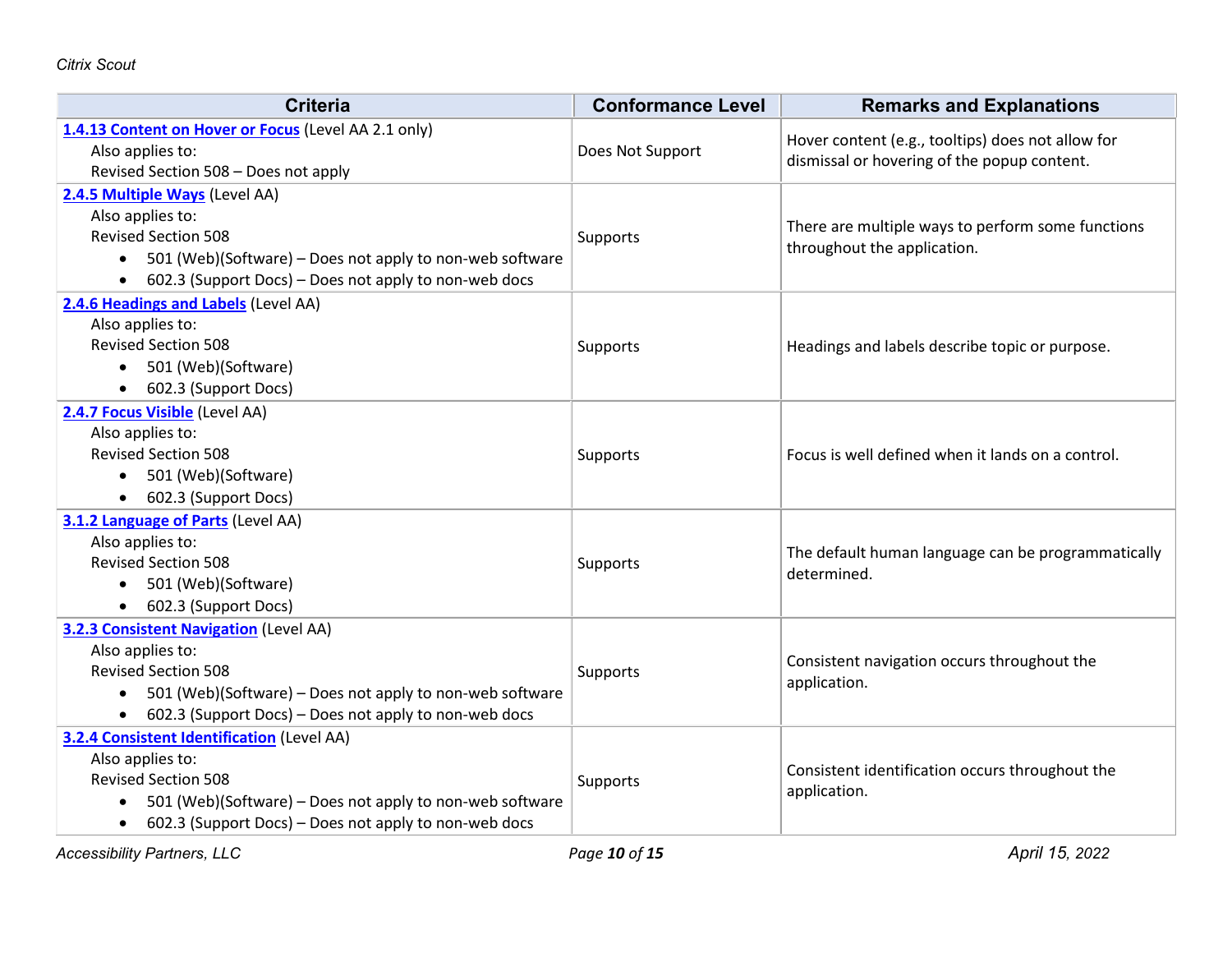| <b>Criteria</b>                                                       | <b>Conformance Level</b> | <b>Remarks and Explanations</b>                                   |
|-----------------------------------------------------------------------|--------------------------|-------------------------------------------------------------------|
| 1.4.13 Content on Hover or Focus (Level AA 2.1 only)                  |                          | Hover content (e.g., tooltips) does not allow for                 |
| Also applies to:                                                      | Does Not Support         | dismissal or hovering of the popup content.                       |
| Revised Section 508 - Does not apply                                  |                          |                                                                   |
| 2.4.5 Multiple Ways (Level AA)                                        |                          |                                                                   |
| Also applies to:                                                      |                          | There are multiple ways to perform some functions                 |
| <b>Revised Section 508</b>                                            | Supports                 | throughout the application.                                       |
| 501 (Web)(Software) – Does not apply to non-web software<br>$\bullet$ |                          |                                                                   |
| • 602.3 (Support Docs) – Does not apply to non-web docs               |                          |                                                                   |
| 2.4.6 Headings and Labels (Level AA)                                  |                          |                                                                   |
| Also applies to:                                                      |                          |                                                                   |
| <b>Revised Section 508</b>                                            | Supports                 | Headings and labels describe topic or purpose.                    |
| • 501 (Web)(Software)                                                 |                          |                                                                   |
| 602.3 (Support Docs)                                                  |                          |                                                                   |
| 2.4.7 Focus Visible (Level AA)                                        |                          |                                                                   |
| Also applies to:                                                      |                          |                                                                   |
| <b>Revised Section 508</b>                                            | Supports                 | Focus is well defined when it lands on a control.                 |
| • 501 (Web)(Software)                                                 |                          |                                                                   |
| • 602.3 (Support Docs)                                                |                          |                                                                   |
| 3.1.2 Language of Parts (Level AA)                                    |                          |                                                                   |
| Also applies to:                                                      |                          |                                                                   |
| <b>Revised Section 508</b>                                            | Supports                 | The default human language can be programmatically<br>determined. |
| • 501 (Web)(Software)                                                 |                          |                                                                   |
| • 602.3 (Support Docs)                                                |                          |                                                                   |
| 3.2.3 Consistent Navigation (Level AA)                                |                          |                                                                   |
| Also applies to:                                                      |                          |                                                                   |
| <b>Revised Section 508</b>                                            | Supports                 | Consistent navigation occurs throughout the<br>application.       |
| • 501 (Web)(Software) – Does not apply to non-web software            |                          |                                                                   |
| • 602.3 (Support Docs) – Does not apply to non-web docs               |                          |                                                                   |
| 3.2.4 Consistent Identification (Level AA)                            |                          |                                                                   |
| Also applies to:                                                      |                          |                                                                   |
| <b>Revised Section 508</b>                                            | Supports                 | Consistent identification occurs throughout the                   |
| 501 (Web)(Software) – Does not apply to non-web software<br>$\bullet$ |                          | application.                                                      |
| 602.3 (Support Docs) - Does not apply to non-web docs<br>$\bullet$    |                          |                                                                   |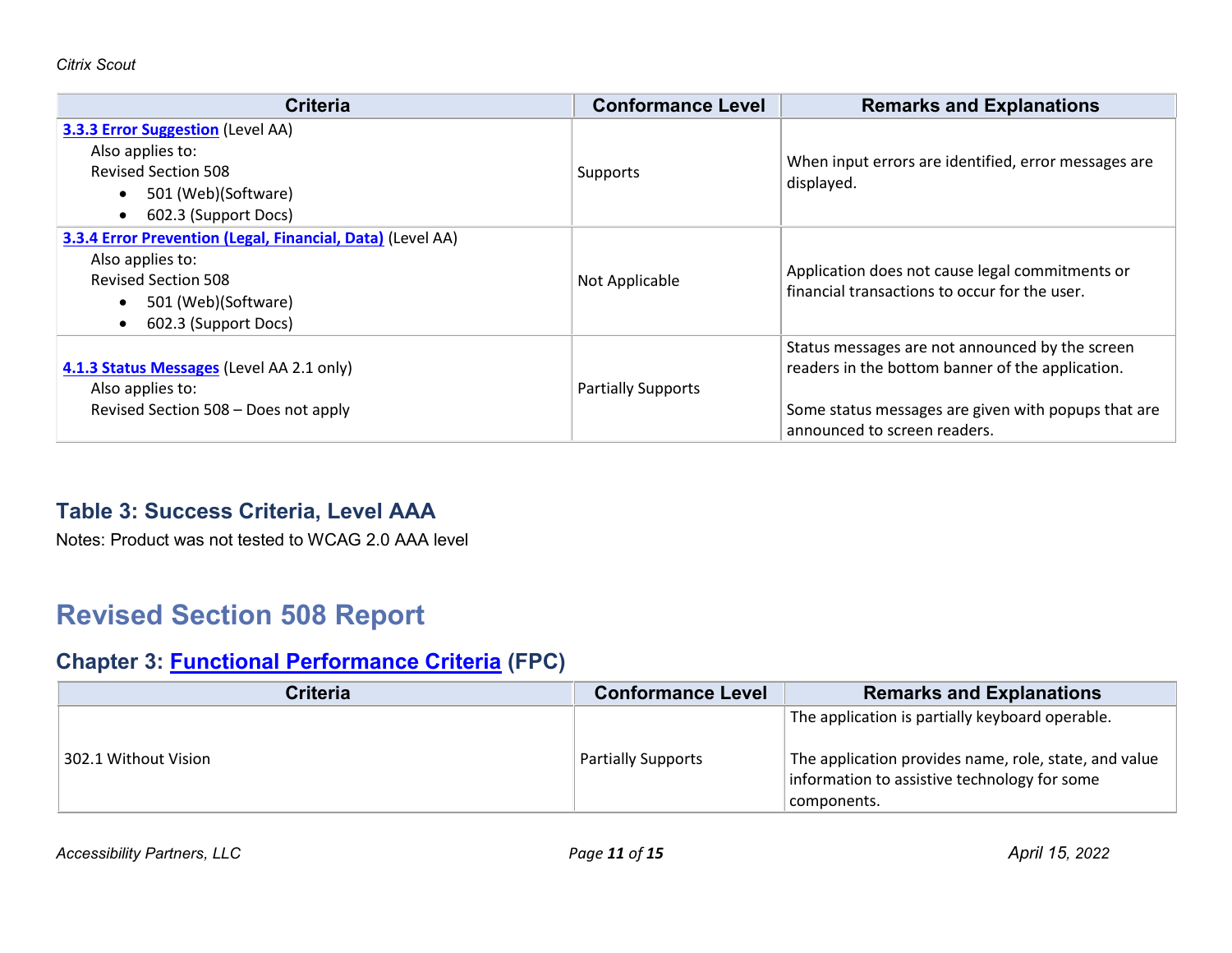| <b>Criteria</b>                                                                                                                                                          | <b>Conformance Level</b>  | <b>Remarks and Explanations</b>                                                                                                                                                            |
|--------------------------------------------------------------------------------------------------------------------------------------------------------------------------|---------------------------|--------------------------------------------------------------------------------------------------------------------------------------------------------------------------------------------|
| <b>3.3.3 Error Suggestion (Level AA)</b><br>Also applies to:<br><b>Revised Section 508</b><br>501 (Web)(Software)<br>602.3 (Support Docs)<br>$\bullet$                   | Supports                  | When input errors are identified, error messages are<br>displayed.                                                                                                                         |
| 3.3.4 Error Prevention (Legal, Financial, Data) (Level AA)<br>Also applies to:<br><b>Revised Section 508</b><br>501 (Web)(Software)<br>602.3 (Support Docs)<br>$\bullet$ | Not Applicable            | Application does not cause legal commitments or<br>financial transactions to occur for the user.                                                                                           |
| 4.1.3 Status Messages (Level AA 2.1 only)<br>Also applies to:<br>Revised Section 508 - Does not apply                                                                    | <b>Partially Supports</b> | Status messages are not announced by the screen<br>readers in the bottom banner of the application.<br>Some status messages are given with popups that are<br>announced to screen readers. |

#### **Table 3: Success Criteria, Level AAA**

Notes: Product was not tested to WCAG 2.0 AAA level

# **Revised Section 508 Report**

#### **Chapter 3: [Functional Performance Criteria](https://www.access-board.gov/guidelines-and-standards/communications-and-it/about-the-ict-refresh/final-rule/text-of-the-standards-and-guidelines#302-functional-performance-criteria) (FPC)**

| <b>Criteria</b>      | <b>Conformance Level</b>  | <b>Remarks and Explanations</b>                                                                                                                                         |
|----------------------|---------------------------|-------------------------------------------------------------------------------------------------------------------------------------------------------------------------|
| 302.1 Without Vision | <b>Partially Supports</b> | The application is partially keyboard operable.<br>The application provides name, role, state, and value<br>information to assistive technology for some<br>components. |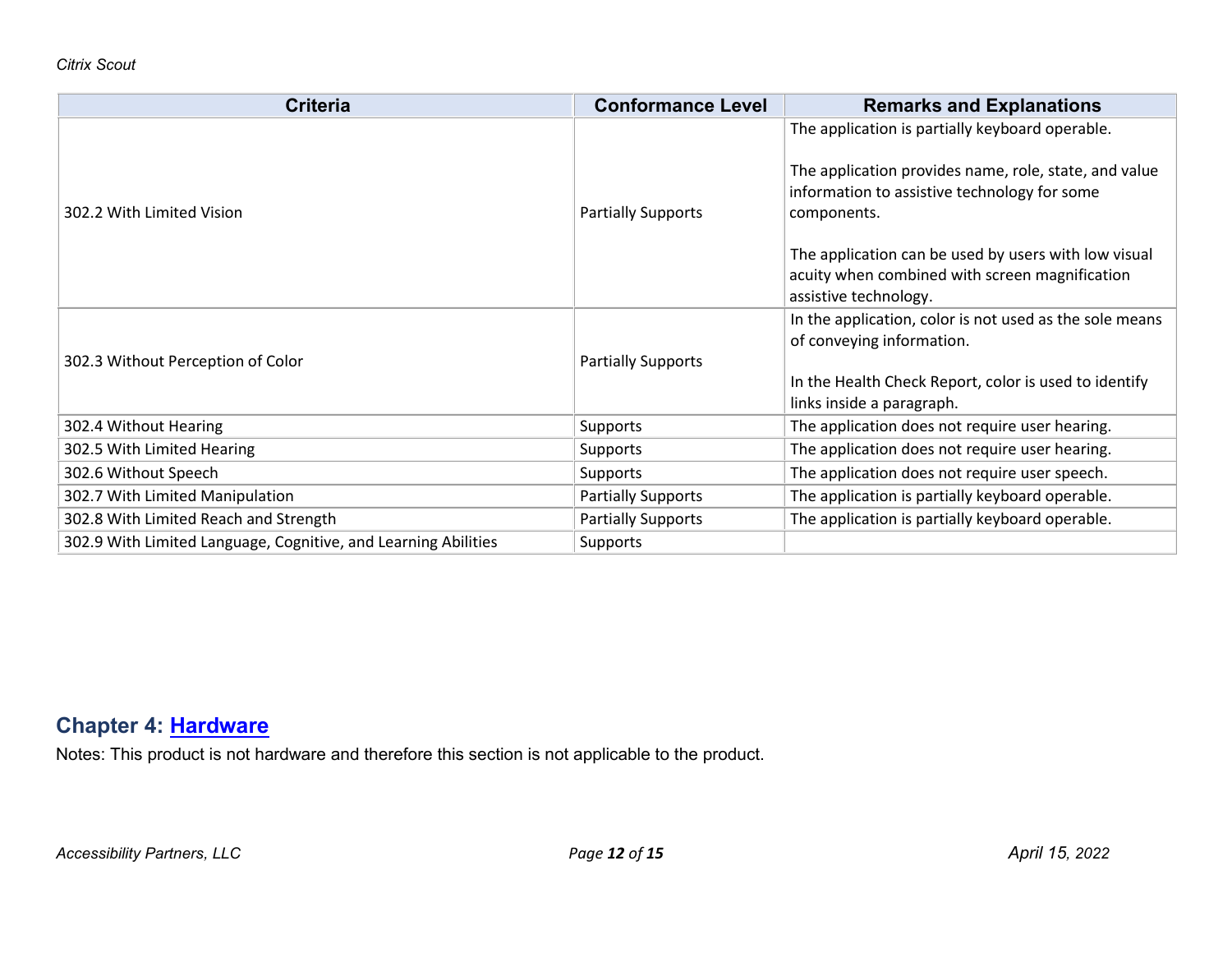| <b>Criteria</b>                                                | <b>Conformance Level</b>  | <b>Remarks and Explanations</b>                                                                                                                                                                                                                                                                            |
|----------------------------------------------------------------|---------------------------|------------------------------------------------------------------------------------------------------------------------------------------------------------------------------------------------------------------------------------------------------------------------------------------------------------|
| 302.2 With Limited Vision                                      | <b>Partially Supports</b> | The application is partially keyboard operable.<br>The application provides name, role, state, and value<br>information to assistive technology for some<br>components.<br>The application can be used by users with low visual<br>acuity when combined with screen magnification<br>assistive technology. |
| 302.3 Without Perception of Color                              | <b>Partially Supports</b> | In the application, color is not used as the sole means<br>of conveying information.<br>In the Health Check Report, color is used to identify<br>links inside a paragraph.                                                                                                                                 |
| 302.4 Without Hearing                                          | Supports                  | The application does not require user hearing.                                                                                                                                                                                                                                                             |
| 302.5 With Limited Hearing                                     | Supports                  | The application does not require user hearing.                                                                                                                                                                                                                                                             |
| 302.6 Without Speech                                           | Supports                  | The application does not require user speech.                                                                                                                                                                                                                                                              |
| 302.7 With Limited Manipulation                                | <b>Partially Supports</b> | The application is partially keyboard operable.                                                                                                                                                                                                                                                            |
| 302.8 With Limited Reach and Strength                          | <b>Partially Supports</b> | The application is partially keyboard operable.                                                                                                                                                                                                                                                            |
| 302.9 With Limited Language, Cognitive, and Learning Abilities | Supports                  |                                                                                                                                                                                                                                                                                                            |

#### **Chapter 4: [Hardware](https://www.access-board.gov/guidelines-and-standards/communications-and-it/about-the-ict-refresh/final-rule/text-of-the-standards-and-guidelines#401-general)**

Notes: This product is not hardware and therefore this section is not applicable to the product.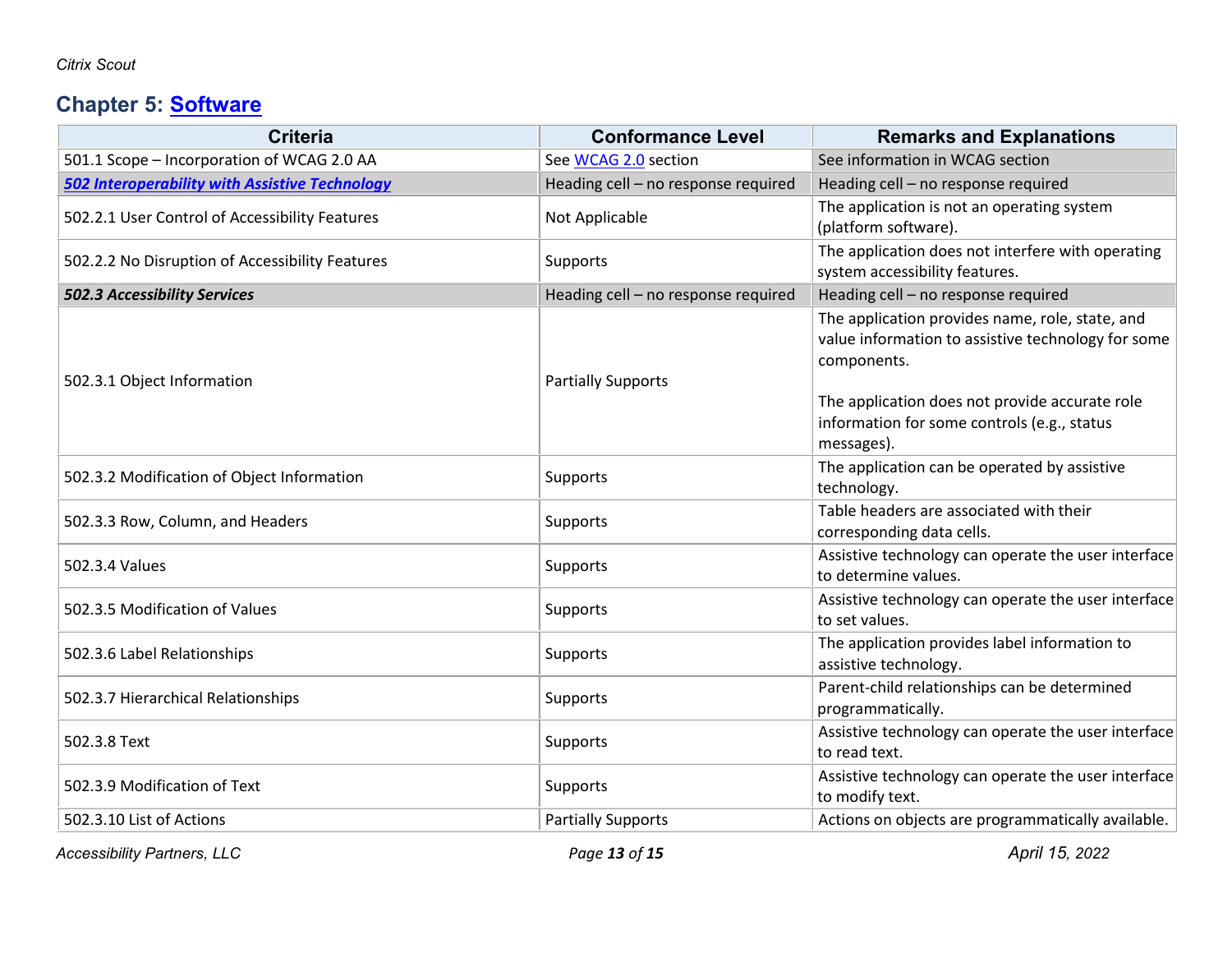## **Chapter 5: [Software](https://www.access-board.gov/guidelines-and-standards/communications-and-it/about-the-ict-refresh/final-rule/text-of-the-standards-and-guidelines#501-general)**

| <b>Criteria</b>                                       | <b>Conformance Level</b>            | <b>Remarks and Explanations</b>                                        |
|-------------------------------------------------------|-------------------------------------|------------------------------------------------------------------------|
| 501.1 Scope - Incorporation of WCAG 2.0 AA            | See WCAG 2.0 section                | See information in WCAG section                                        |
| <b>502 Interoperability with Assistive Technology</b> | Heading cell - no response required | Heading cell - no response required                                    |
| 502.2.1 User Control of Accessibility Features        | Not Applicable                      | The application is not an operating system                             |
|                                                       |                                     | (platform software).                                                   |
| 502.2.2 No Disruption of Accessibility Features       | Supports                            | The application does not interfere with operating                      |
|                                                       |                                     | system accessibility features.                                         |
| 502.3 Accessibility Services                          | Heading cell - no response required | Heading cell - no response required                                    |
|                                                       |                                     | The application provides name, role, state, and                        |
|                                                       |                                     | value information to assistive technology for some                     |
| 502.3.1 Object Information                            | <b>Partially Supports</b>           | components.                                                            |
|                                                       |                                     | The application does not provide accurate role                         |
|                                                       |                                     | information for some controls (e.g., status                            |
|                                                       |                                     | messages).                                                             |
|                                                       | Supports                            | The application can be operated by assistive                           |
| 502.3.2 Modification of Object Information            |                                     | technology.                                                            |
| 502.3.3 Row, Column, and Headers                      | Supports                            | Table headers are associated with their                                |
|                                                       |                                     | corresponding data cells.                                              |
| 502.3.4 Values                                        | Supports                            | Assistive technology can operate the user interface                    |
|                                                       |                                     | to determine values.                                                   |
| 502.3.5 Modification of Values                        | Supports                            | Assistive technology can operate the user interface                    |
|                                                       |                                     | to set values.                                                         |
| 502.3.6 Label Relationships                           | Supports                            | The application provides label information to<br>assistive technology. |
|                                                       |                                     | Parent-child relationships can be determined                           |
| 502.3.7 Hierarchical Relationships                    | Supports                            | programmatically.                                                      |
| 502.3.8 Text                                          |                                     | Assistive technology can operate the user interface                    |
|                                                       | Supports                            | to read text.                                                          |
| 502.3.9 Modification of Text                          |                                     | Assistive technology can operate the user interface                    |
|                                                       | Supports                            | to modify text.                                                        |
| 502.3.10 List of Actions                              | <b>Partially Supports</b>           | Actions on objects are programmatically available.                     |

*Accessibility Partners, LLC Page 13 of 15 April 15, 2022*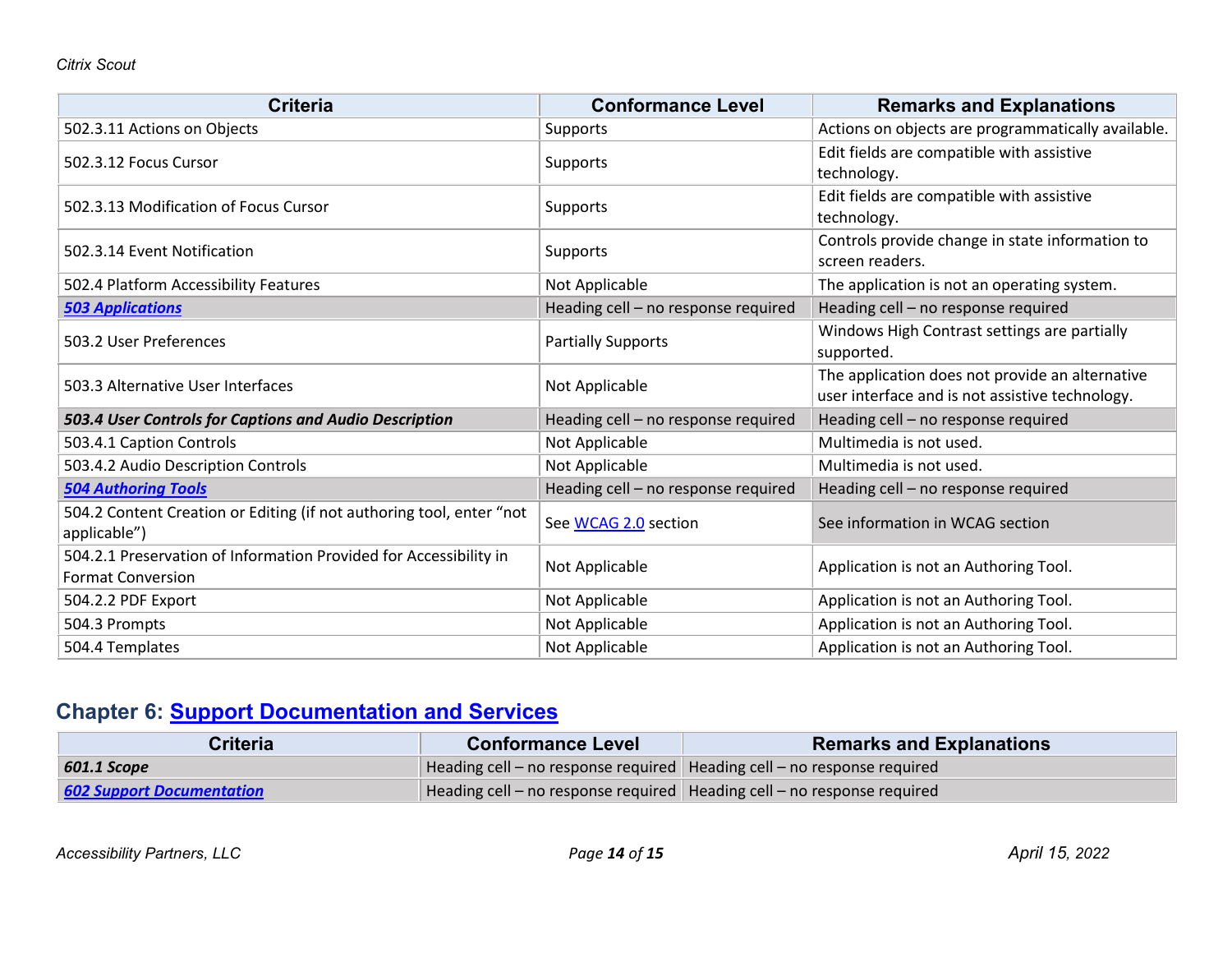| <b>Criteria</b>                                                                      | <b>Conformance Level</b>            | <b>Remarks and Explanations</b>                                                                    |
|--------------------------------------------------------------------------------------|-------------------------------------|----------------------------------------------------------------------------------------------------|
| 502.3.11 Actions on Objects                                                          | Supports                            | Actions on objects are programmatically available.                                                 |
| 502.3.12 Focus Cursor                                                                | Supports                            | Edit fields are compatible with assistive                                                          |
|                                                                                      |                                     | technology.                                                                                        |
| 502.3.13 Modification of Focus Cursor                                                | Supports                            | Edit fields are compatible with assistive<br>technology.                                           |
|                                                                                      |                                     | Controls provide change in state information to                                                    |
| 502.3.14 Event Notification                                                          | Supports                            | screen readers.                                                                                    |
| 502.4 Platform Accessibility Features                                                | Not Applicable                      | The application is not an operating system.                                                        |
| <b>503 Applications</b>                                                              | Heading cell - no response required | Heading cell - no response required                                                                |
| 503.2 User Preferences                                                               | <b>Partially Supports</b>           | Windows High Contrast settings are partially                                                       |
|                                                                                      |                                     | supported.                                                                                         |
| 503.3 Alternative User Interfaces                                                    | Not Applicable                      | The application does not provide an alternative<br>user interface and is not assistive technology. |
| 503.4 User Controls for Captions and Audio Description                               | Heading cell - no response required | Heading cell - no response required                                                                |
| 503.4.1 Caption Controls                                                             | Not Applicable                      | Multimedia is not used.                                                                            |
| 503.4.2 Audio Description Controls                                                   | Not Applicable                      | Multimedia is not used.                                                                            |
| <b>504 Authoring Tools</b>                                                           | Heading cell - no response required | Heading cell - no response required                                                                |
| 504.2 Content Creation or Editing (if not authoring tool, enter "not<br>applicable") | See WCAG 2.0 section                | See information in WCAG section                                                                    |
| 504.2.1 Preservation of Information Provided for Accessibility in                    | Not Applicable                      | Application is not an Authoring Tool.                                                              |
| <b>Format Conversion</b>                                                             |                                     |                                                                                                    |
| 504.2.2 PDF Export                                                                   | Not Applicable                      | Application is not an Authoring Tool.                                                              |
| 504.3 Prompts                                                                        | Not Applicable                      | Application is not an Authoring Tool.                                                              |
| 504.4 Templates                                                                      | Not Applicable                      | Application is not an Authoring Tool.                                                              |

## **Chapter 6: [Support Documentation and Services](https://www.access-board.gov/guidelines-and-standards/communications-and-it/about-the-ict-refresh/final-rule/text-of-the-standards-and-guidelines#601-general)**

| Criteria                         | <b>Conformance Level</b> | <b>Remarks and Explanations</b>                                           |
|----------------------------------|--------------------------|---------------------------------------------------------------------------|
| 601.1 Scope                      |                          | Heading cell – no response required   Heading cell – no response required |
| <b>602 Support Documentation</b> |                          | Heading cell – no response required   Heading cell – no response required |